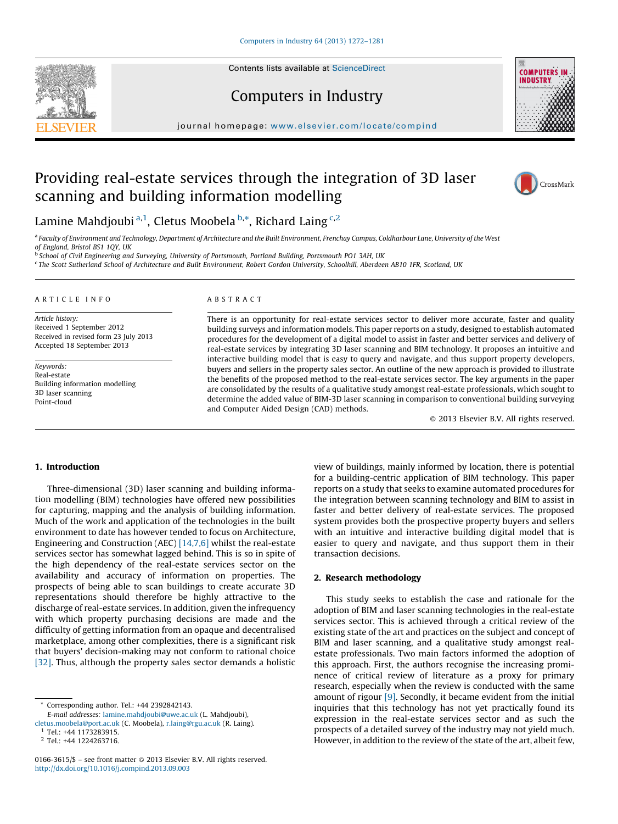Contents lists available at [ScienceDirect](http://www.sciencedirect.com/science/journal/01663615)





journal homepage: www.elsevier.com/locate/compind

Computers in Industry

## Providing real-estate services through the integration of 3D laser scanning and building information modelling



### Lamine Mahdjoubi <sup>a, 1</sup>, Cletus Moobela <sup>b,\*</sup>, Richard Laing <sup>c,2</sup>

a Faculty of Environment and Technology, Department of Architecture and the Built Environment, Frenchay Campus, Coldharbour Lane, University of the West of England, Bristol BS1 1QY, UK

<sup>b</sup> School of Civil Engineering and Surveying, University of Portsmouth, Portland Building, Portsmouth PO1 3AH, UK

<sup>c</sup> The Scott Sutherland School of Architecture and Built Environment, Robert Gordon University, Schoolhill, Aberdeen AB10 1FR, Scotland, UK

#### A R T I C L E I N F O

Article history: Received 1 September 2012 Received in revised form 23 July 2013 Accepted 18 September 2013

Keywords: Real-estate Building information modelling 3D laser scanning Point-cloud

#### A B S T R A C T

There is an opportunity for real-estate services sector to deliver more accurate, faster and quality building surveys and information models. This paper reports on a study, designed to establish automated procedures for the development of a digital model to assist in faster and better services and delivery of real-estate services by integrating 3D laser scanning and BIM technology. It proposes an intuitive and interactive building model that is easy to query and navigate, and thus support property developers, buyers and sellers in the property sales sector. An outline of the new approach is provided to illustrate the benefits of the proposed method to the real-estate services sector. The key arguments in the paper are consolidated by the results of a qualitative study amongst real-estate professionals, which sought to determine the added value of BIM-3D laser scanning in comparison to conventional building surveying and Computer Aided Design (CAD) methods.

- 2013 Elsevier B.V. All rights reserved.

#### 1. Introduction

Three-dimensional (3D) laser scanning and building information modelling (BIM) technologies have offered new possibilities for capturing, mapping and the analysis of building information. Much of the work and application of the technologies in the built environment to date has however tended to focus on Architecture, Engineering and Construction (AEC) [\[14,7,6\]](#page--1-0) whilst the real-estate services sector has somewhat lagged behind. This is so in spite of the high dependency of the real-estate services sector on the availability and accuracy of information on properties. The prospects of being able to scan buildings to create accurate 3D representations should therefore be highly attractive to the discharge of real-estate services. In addition, given the infrequency with which property purchasing decisions are made and the difficulty of getting information from an opaque and decentralised marketplace, among other complexities, there is a significant risk that buyers' decision-making may not conform to rational choice [\[32\]](#page--1-0). Thus, although the property sales sector demands a holistic

view of buildings, mainly informed by location, there is potential for a building-centric application of BIM technology. This paper reports on a study that seeks to examine automated procedures for the integration between scanning technology and BIM to assist in faster and better delivery of real-estate services. The proposed system provides both the prospective property buyers and sellers with an intuitive and interactive building digital model that is easier to query and navigate, and thus support them in their transaction decisions.

#### 2. Research methodology

This study seeks to establish the case and rationale for the adoption of BIM and laser scanning technologies in the real-estate services sector. This is achieved through a critical review of the existing state of the art and practices on the subject and concept of BIM and laser scanning, and a qualitative study amongst realestate professionals. Two main factors informed the adoption of this approach. First, the authors recognise the increasing prominence of critical review of literature as a proxy for primary research, especially when the review is conducted with the same amount of rigour [\[9\]](#page--1-0). Secondly, it became evident from the initial inquiries that this technology has not yet practically found its expression in the real-estate services sector and as such the prospects of a detailed survey of the industry may not yield much. However, in addition to the review of the state of the art, albeit few,

Corresponding author. Tel.: +44 2392842143.

E-mail addresses: [lamine.mahdjoubi@uwe.ac.uk](mailto:lamine.mahdjoubi@uwe.ac.uk) (L. Mahdjoubi),

[cletus.moobela@port.ac.uk](mailto:cletus.moobela@port.ac.uk) (C. Moobela), [r.laing@rgu.ac.uk](mailto:r.laing@rgu.ac.uk) (R. Laing). <sup>1</sup> Tel.: +44 1173283915.

<sup>2</sup> Tel.: +44 1224263716.

<sup>0166-3615/\$ –</sup> see front matter @ 2013 Elsevier B.V. All rights reserved. <http://dx.doi.org/10.1016/j.compind.2013.09.003>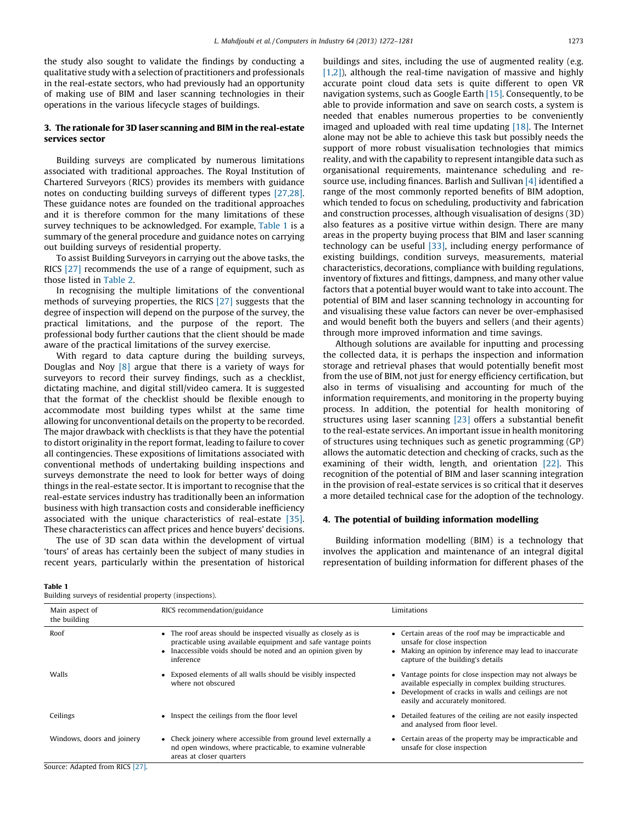the study also sought to validate the findings by conducting a qualitative study with a selection of practitioners and professionals in the real-estate sectors, who had previously had an opportunity of making use of BIM and laser scanning technologies in their operations in the various lifecycle stages of buildings.

#### 3. The rationale for 3D laser scanning and BIM in the real-estate services sector

Building surveys are complicated by numerous limitations associated with traditional approaches. The Royal Institution of Chartered Surveyors (RICS) provides its members with guidance notes on conducting building surveys of different types [\[27,28\].](#page--1-0) These guidance notes are founded on the traditional approaches and it is therefore common for the many limitations of these survey techniques to be acknowledged. For example, Table 1 is a summary of the general procedure and guidance notes on carrying out building surveys of residential property.

To assist Building Surveyors in carrying out the above tasks, the RICS [\[27\]](#page--1-0) recommends the use of a range of equipment, such as those listed in [Table](#page--1-0) 2.

In recognising the multiple limitations of the conventional methods of surveying properties, the RICS [\[27\]](#page--1-0) suggests that the degree of inspection will depend on the purpose of the survey, the practical limitations, and the purpose of the report. The professional body further cautions that the client should be made aware of the practical limitations of the survey exercise.

With regard to data capture during the building surveys, Douglas and Noy [\[8\]](#page--1-0) argue that there is a variety of ways for surveyors to record their survey findings, such as a checklist, dictating machine, and digital still/video camera. It is suggested that the format of the checklist should be flexible enough to accommodate most building types whilst at the same time allowing for unconventional details on the property to be recorded. The major drawback with checklists is that they have the potential to distort originality in the report format, leading to failure to cover all contingencies. These expositions of limitations associated with conventional methods of undertaking building inspections and surveys demonstrate the need to look for better ways of doing things in the real-estate sector. It is important to recognise that the real-estate services industry has traditionally been an information business with high transaction costs and considerable inefficiency associated with the unique characteristics of real-estate [\[35\].](#page--1-0) These characteristics can affect prices and hence buyers' decisions.

The use of 3D scan data within the development of virtual 'tours' of areas has certainly been the subject of many studies in recent years, particularly within the presentation of historical buildings and sites, including the use of augmented reality (e.g.  $[1,2]$ ), although the real-time navigation of massive and highly accurate point cloud data sets is quite different to open VR navigation systems, such as Google Earth [\[15\]](#page--1-0). Consequently, to be able to provide information and save on search costs, a system is needed that enables numerous properties to be conveniently imaged and uploaded with real time updating [\[18\].](#page--1-0) The Internet alone may not be able to achieve this task but possibly needs the support of more robust visualisation technologies that mimics reality, and with the capability to represent intangible data such as organisational requirements, maintenance scheduling and resource use, including finances. Barlish and Sullivan [\[4\]](#page--1-0) identified a range of the most commonly reported benefits of BIM adoption, which tended to focus on scheduling, productivity and fabrication and construction processes, although visualisation of designs (3D) also features as a positive virtue within design. There are many areas in the property buying process that BIM and laser scanning technology can be useful [\[33\],](#page--1-0) including energy performance of existing buildings, condition surveys, measurements, material characteristics, decorations, compliance with building regulations, inventory of fixtures and fittings, dampness, and many other value factors that a potential buyer would want to take into account. The potential of BIM and laser scanning technology in accounting for and visualising these value factors can never be over-emphasised and would benefit both the buyers and sellers (and their agents) through more improved information and time savings.

Although solutions are available for inputting and processing the collected data, it is perhaps the inspection and information storage and retrieval phases that would potentially benefit most from the use of BIM, not just for energy efficiency certification, but also in terms of visualising and accounting for much of the information requirements, and monitoring in the property buying process. In addition, the potential for health monitoring of structures using laser scanning [\[23\]](#page--1-0) offers a substantial benefit to the real-estate services. An important issue in health monitoring of structures using techniques such as genetic programming (GP) allows the automatic detection and checking of cracks, such as the examining of their width, length, and orientation [\[22\]](#page--1-0). This recognition of the potential of BIM and laser scanning integration in the provision of real-estate services is so critical that it deserves a more detailed technical case for the adoption of the technology.

#### 4. The potential of building information modelling

Building information modelling (BIM) is a technology that involves the application and maintenance of an integral digital representation of building information for different phases of the

Building surveys of residential property (inspections).

| Main aspect of<br>the building  | RICS recommendation/guidance                                                                                                                                                                                 | Limitations                                                                                                                                                                                                  |  |
|---------------------------------|--------------------------------------------------------------------------------------------------------------------------------------------------------------------------------------------------------------|--------------------------------------------------------------------------------------------------------------------------------------------------------------------------------------------------------------|--|
| Roof                            | • The roof areas should be inspected visually as closely as is<br>practicable using available equipment and safe vantage points<br>• Inaccessible voids should be noted and an opinion given by<br>inference | • Certain areas of the roof may be impracticable and<br>unsafe for close inspection<br>• Making an opinion by inference may lead to inaccurate<br>capture of the building's details                          |  |
| Walls                           | • Exposed elements of all walls should be visibly inspected<br>where not obscured                                                                                                                            | • Vantage points for close inspection may not always be<br>available especially in complex building structures.<br>• Development of cracks in walls and ceilings are not<br>easily and accurately monitored. |  |
| Ceilings                        | • Inspect the ceilings from the floor level                                                                                                                                                                  | • Detailed features of the ceiling are not easily inspected<br>and analysed from floor level.                                                                                                                |  |
| Windows, doors and joinery      | • Check joinery where accessible from ground level externally a<br>nd open windows, where practicable, to examine vulnerable<br>areas at closer quarters                                                     | • Certain areas of the property may be impracticable and<br>unsafe for close inspection                                                                                                                      |  |
| Source: Adapted from RICS [27]. |                                                                                                                                                                                                              |                                                                                                                                                                                                              |  |